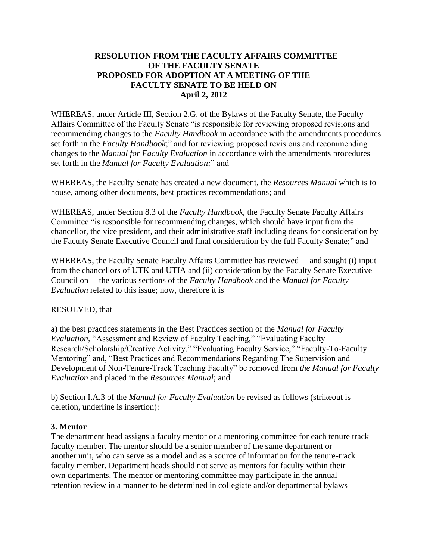## **RESOLUTION FROM THE FACULTY AFFAIRS COMMITTEE OF THE FACULTY SENATE PROPOSED FOR ADOPTION AT A MEETING OF THE FACULTY SENATE TO BE HELD ON April 2, 2012**

WHEREAS, under Article III, Section 2.G. of the Bylaws of the Faculty Senate, the Faculty Affairs Committee of the Faculty Senate "is responsible for reviewing proposed revisions and recommending changes to the *Faculty Handbook* in accordance with the amendments procedures set forth in the *Faculty Handbook*;" and for reviewing proposed revisions and recommending changes to the *Manual for Faculty Evaluation* in accordance with the amendments procedures set forth in the *Manual for Faculty Evaluation;*" and

WHEREAS, the Faculty Senate has created a new document, the *Resources Manual* which is to house, among other documents, best practices recommendations; and

WHEREAS, under Section 8.3 of the *Faculty Handbook*, the Faculty Senate Faculty Affairs Committee "is responsible for recommending changes, which should have input from the chancellor, the vice president, and their administrative staff including deans for consideration by the Faculty Senate Executive Council and final consideration by the full Faculty Senate;" and

WHEREAS, the Faculty Senate Faculty Affairs Committee has reviewed —and sought (i) input from the chancellors of UTK and UTIA and (ii) consideration by the Faculty Senate Executive Council on— the various sections of the *Faculty Handbook* and the *Manual for Faculty Evaluation* related to this issue; now, therefore it is

## RESOLVED, that

a) the best practices statements in the Best Practices section of the *Manual for Faculty Evaluation*, "Assessment and Review of Faculty Teaching," "Evaluating Faculty Research/Scholarship/Creative Activity," "Evaluating Faculty Service," "Faculty-To-Faculty Mentoring" and, "Best Practices and Recommendations Regarding The Supervision and Development of Non-Tenure-Track Teaching Faculty" be removed from *the Manual for Faculty Evaluation* and placed in the *Resources Manual*; and

b) Section I.A.3 of the *Manual for Faculty Evaluation* be revised as follows (strikeout is deletion, underline is insertion):

## **3. Mentor**

The department head assigns a faculty mentor or a mentoring committee for each tenure track faculty member. The mentor should be a senior member of the same department or another unit, who can serve as a model and as a source of information for the tenure-track faculty member. Department heads should not serve as mentors for faculty within their own departments. The mentor or mentoring committee may participate in the annual retention review in a manner to be determined in collegiate and/or departmental bylaws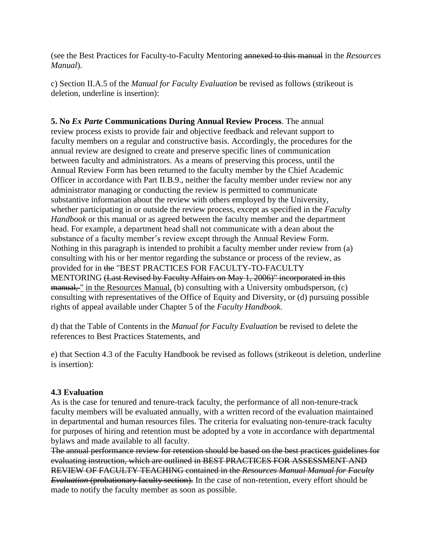(see the Best Practices for Faculty-to-Faculty Mentoring annexed to this manual in the *Resources Manual*).

c) Section II.A.5 of the *Manual for Faculty Evaluation* be revised as follows (strikeout is deletion, underline is insertion):

**5. No** *Ex Parte* **Communications During Annual Review Process**. The annual review process exists to provide fair and objective feedback and relevant support to faculty members on a regular and constructive basis. Accordingly, the procedures for the annual review are designed to create and preserve specific lines of communication between faculty and administrators. As a means of preserving this process, until the Annual Review Form has been returned to the faculty member by the Chief Academic Officer in accordance with Part II.B.9., neither the faculty member under review nor any administrator managing or conducting the review is permitted to communicate substantive information about the review with others employed by the University, whether participating in or outside the review process, except as specified in the *Faculty Handbook* or this manual or as agreed between the faculty member and the department head. For example, a department head shall not communicate with a dean about the substance of a faculty member's review except through the Annual Review Form. Nothing in this paragraph is intended to prohibit a faculty member under review from (a) consulting with his or her mentor regarding the substance or process of the review, as provided for in the "BEST PRACTICES FOR FACULTY-TO-FACULTY MENTORING (Last Revised by Faculty Affairs on May 1, 2006)" incorporated in this manual, " in the Resources Manual, (b) consulting with a University ombudsperson, (c) consulting with representatives of the Office of Equity and Diversity, or (d) pursuing possible rights of appeal available under Chapter 5 of the *Faculty Handbook*.

d) that the Table of Contents in the *Manual for Faculty Evaluation* be revised to delete the references to Best Practices Statements, and

e) that Section 4.3 of the Faculty Handbook be revised as follows (strikeout is deletion, underline is insertion):

## **4.3 Evaluation**

As is the case for tenured and tenure-track faculty, the performance of all non-tenure-track faculty members will be evaluated annually, with a written record of the evaluation maintained in departmental and human resources files. The criteria for evaluating non-tenure-track faculty for purposes of hiring and retention must be adopted by a vote in accordance with departmental bylaws and made available to all faculty.

The annual performance review for retention should be based on the best practices guidelines for evaluating instruction, which are outlined in BEST PRACTICES FOR ASSESSMENT AND REVIEW OF FACULTY TEACHING contained in the *Resources Manual Manual for Faculty Evaluation* (probationary faculty section). In the case of non-retention, every effort should be made to notify the faculty member as soon as possible.